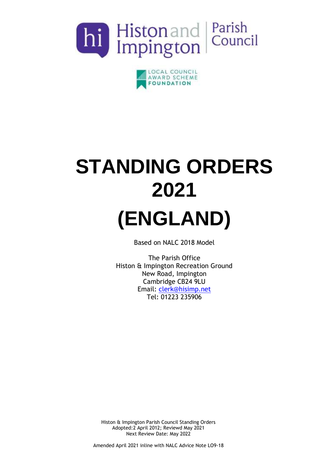



# **STANDING ORDERS 2021 (ENGLAND)**

Based on NALC 2018 Model

The Parish Office Histon & Impington Recreation Ground New Road, Impington Cambridge CB24 9LU Email: [clerk@hisimp.net](mailto:clerk@hisimp.net) Tel: 01223 235906

Histon & Impington Parish Council Standing Orders Adopted:2 April 2012; Reviewd May 2021 Next Review Date: May 2022

Amended April 2021 inline with NALC Advice Note LO9-18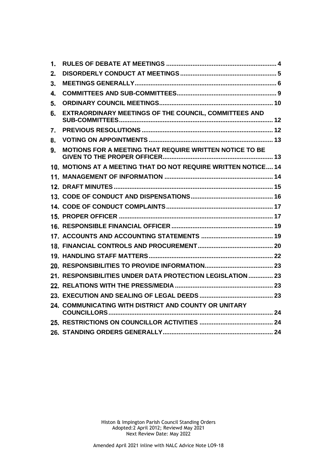| 1. |                                                                |  |
|----|----------------------------------------------------------------|--|
| 2. |                                                                |  |
| 3. |                                                                |  |
| 4. |                                                                |  |
| 5. |                                                                |  |
| 6. | EXTRAORDINARY MEETINGS OF THE COUNCIL, COMMITTEES AND          |  |
| 7. |                                                                |  |
| 8. |                                                                |  |
| 9. | MOTIONS FOR A MEETING THAT REQUIRE WRITTEN NOTICE TO BE        |  |
|    | 10. MOTIONS AT A MEETING THAT DO NOT REQUIRE WRITTEN NOTICE 14 |  |
|    |                                                                |  |
|    |                                                                |  |
|    |                                                                |  |
|    |                                                                |  |
|    |                                                                |  |
|    |                                                                |  |
|    |                                                                |  |
|    |                                                                |  |
|    |                                                                |  |
|    |                                                                |  |
|    | 21. RESPONSIBILITIES UNDER DATA PROTECTION LEGISLATION  23     |  |
|    |                                                                |  |
|    |                                                                |  |
|    | 24. COMMUNICATING WITH DISTRICT AND COUNTY OR UNITARY          |  |
|    |                                                                |  |
|    |                                                                |  |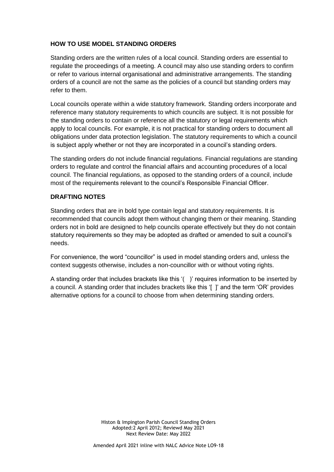# **HOW TO USE MODEL STANDING ORDERS**

Standing orders are the written rules of a local council. Standing orders are essential to regulate the proceedings of a meeting. A council may also use standing orders to confirm or refer to various internal organisational and administrative arrangements. The standing orders of a council are not the same as the policies of a council but standing orders may refer to them.

Local councils operate within a wide statutory framework. Standing orders incorporate and reference many statutory requirements to which councils are subject. It is not possible for the standing orders to contain or reference all the statutory or legal requirements which apply to local councils. For example, it is not practical for standing orders to document all obligations under data protection legislation. The statutory requirements to which a council is subject apply whether or not they are incorporated in a council's standing orders.

The standing orders do not include financial regulations. Financial regulations are standing orders to regulate and control the financial affairs and accounting procedures of a local council. The financial regulations, as opposed to the standing orders of a council, include most of the requirements relevant to the council's Responsible Financial Officer.

## **DRAFTING NOTES**

Standing orders that are in bold type contain legal and statutory requirements. It is recommended that councils adopt them without changing them or their meaning. Standing orders not in bold are designed to help councils operate effectively but they do not contain statutory requirements so they may be adopted as drafted or amended to suit a council's needs.

For convenience, the word "councillor" is used in model standing orders and, unless the context suggests otherwise, includes a non-councillor with or without voting rights.

A standing order that includes brackets like this '( )' requires information to be inserted by a council. A standing order that includes brackets like this '[ ]' and the term 'OR' provides alternative options for a council to choose from when determining standing orders.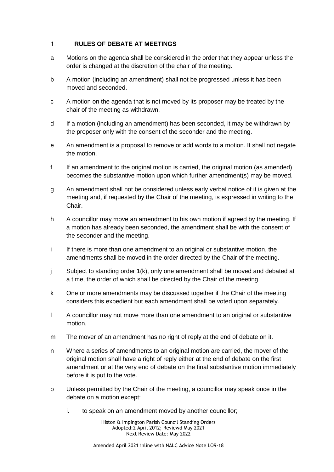### <span id="page-3-0"></span> $1<sup>1</sup>$ **RULES OF DEBATE AT MEETINGS**

- a Motions on the agenda shall be considered in the order that they appear unless the order is changed at the discretion of the chair of the meeting.
- b A motion (including an amendment) shall not be progressed unless it has been moved and seconded.
- c A motion on the agenda that is not moved by its proposer may be treated by the chair of the meeting as withdrawn.
- d If a motion (including an amendment) has been seconded, it may be withdrawn by the proposer only with the consent of the seconder and the meeting.
- e An amendment is a proposal to remove or add words to a motion. It shall not negate the motion.
- f If an amendment to the original motion is carried, the original motion (as amended) becomes the substantive motion upon which further amendment(s) may be moved.
- g An amendment shall not be considered unless early verbal notice of it is given at the meeting and, if requested by the Chair of the meeting, is expressed in writing to the Chair.
- h A councillor may move an amendment to his own motion if agreed by the meeting. If a motion has already been seconded, the amendment shall be with the consent of the seconder and the meeting.
- i If there is more than one amendment to an original or substantive motion, the amendments shall be moved in the order directed by the Chair of the meeting.
- j Subject to standing order 1(k), only one amendment shall be moved and debated at a time, the order of which shall be directed by the Chair of the meeting.
- k One or more amendments may be discussed together if the Chair of the meeting considers this expedient but each amendment shall be voted upon separately.
- l A councillor may not move more than one amendment to an original or substantive motion.
- m The mover of an amendment has no right of reply at the end of debate on it.
- n Where a series of amendments to an original motion are carried, the mover of the original motion shall have a right of reply either at the end of debate on the first amendment or at the very end of debate on the final substantive motion immediately before it is put to the vote.
- o Unless permitted by the Chair of the meeting, a councillor may speak once in the debate on a motion except:
	- i. to speak on an amendment moved by another councillor;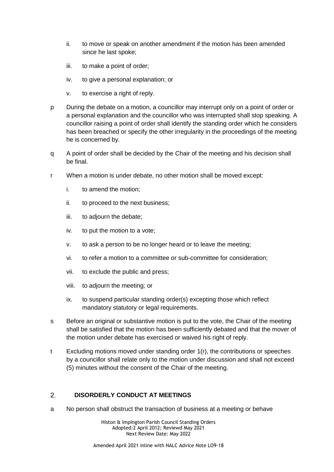- ii. to move or speak on another amendment if the motion has been amended since he last spoke;
- iii. to make a point of order;
- iv. to give a personal explanation; or
- v. to exercise a right of reply.
- p During the debate on a motion, a councillor may interrupt only on a point of order or a personal explanation and the councillor who was interrupted shall stop speaking. A councillor raising a point of order shall identify the standing order which he considers has been breached or specify the other irregularity in the proceedings of the meeting he is concerned by.
- q A point of order shall be decided by the Chair of the meeting and his decision shall be final.
- r When a motion is under debate, no other motion shall be moved except:
	- i. to amend the motion;
	- ii. to proceed to the next business;
	- iii. to adjourn the debate;
	- iv. to put the motion to a vote;
	- v. to ask a person to be no longer heard or to leave the meeting;
	- vi. to refer a motion to a committee or sub-committee for consideration;
	- vii. to exclude the public and press;
	- viii. to adjourn the meeting; or
	- ix. to suspend particular standing order(s) excepting those which reflect mandatory statutory or legal requirements.
- s Before an original or substantive motion is put to the vote, the Chair of the meeting shall be satisfied that the motion has been sufficiently debated and that the mover of the motion under debate has exercised or waived his right of reply.
- t Excluding motions moved under standing order 1(r), the contributions or speeches by a councillor shall relate only to the motion under discussion and shall not exceed (5) minutes without the consent of the Chair of the meeting.

### <span id="page-4-0"></span> $2^{\circ}$ **DISORDERLY CONDUCT AT MEETINGS**

a No person shall obstruct the transaction of business at a meeting or behave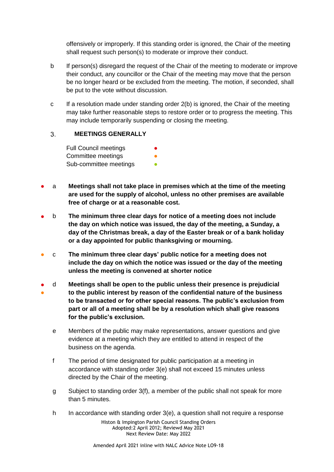offensively or improperly. If this standing order is ignored, the Chair of the meeting shall request such person(s) to moderate or improve their conduct.

- b If person(s) disregard the request of the Chair of the meeting to moderate or improve their conduct, any councillor or the Chair of the meeting may move that the person be no longer heard or be excluded from the meeting. The motion, if seconded, shall be put to the vote without discussion.
- c If a resolution made under standing order 2(b) is ignored, the Chair of the meeting may take further reasonable steps to restore order or to progress the meeting. This may include temporarily suspending or closing the meeting.

### <span id="page-5-0"></span>**MEETINGS GENERALLY** 3.

**Full Council meetings** Committee meetings **•** Sub-committee meetings **•** 

- a **Meetings shall not take place in premises which at the time of the meeting are used for the supply of alcohol, unless no other premises are available free of charge or at a reasonable cost.**
- b **The minimum three clear days for notice of a meeting does not include the day on which notice was issued, the day of the meeting, a Sunday, a day of the Christmas break, a day of the Easter break or of a bank holiday or a day appointed for public thanksgiving or mourning.**
- c **The minimum three clear days' public notice for a meeting does not include the day on which the notice was issued or the day of the meeting unless the meeting is convened at shorter notice**
- ● d **Meetings shall be open to the public unless their presence is prejudicial to the public interest by reason of the confidential nature of the business to be transacted or for other special reasons. The public's exclusion from part or all of a meeting shall be by a resolution which shall give reasons for the public's exclusion.**
	- e Members of the public may make representations, answer questions and give evidence at a meeting which they are entitled to attend in respect of the business on the agenda.
	- f The period of time designated for public participation at a meeting in accordance with standing order 3(e) shall not exceed 15 minutes unless directed by the Chair of the meeting.
	- g Subject to standing order 3(f), a member of the public shall not speak for more than 5 minutes.
	- h In accordance with standing order 3(e), a question shall not require a response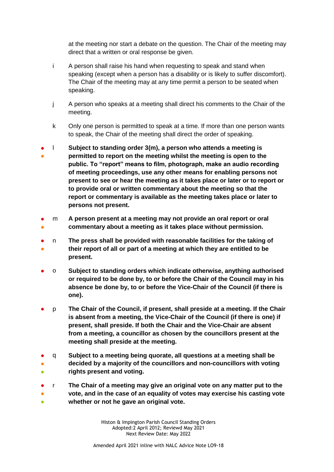at the meeting nor start a debate on the question. The Chair of the meeting may direct that a written or oral response be given.

- i A person shall raise his hand when requesting to speak and stand when speaking (except when a person has a disability or is likely to suffer discomfort). The Chair of the meeting may at any time permit a person to be seated when speaking.
- j A person who speaks at a meeting shall direct his comments to the Chair of the meeting.
- k Only one person is permitted to speak at a time. If more than one person wants to speak, the Chair of the meeting shall direct the order of speaking.
- ● l **Subject to standing order 3(m), a person who attends a meeting is permitted to report on the meeting whilst the meeting is open to the public. To "report" means to film, photograph, make an audio recording of meeting proceedings, use any other means for enabling persons not present to see or hear the meeting as it takes place or later or to report or to provide oral or written commentary about the meeting so that the report or commentary is available as the meeting takes place or later to persons not present.**
- ● m **A person present at a meeting may not provide an oral report or oral commentary about a meeting as it takes place without permission.**
- ● n **The press shall be provided with reasonable facilities for the taking of their report of all or part of a meeting at which they are entitled to be present.**
- o **Subject to standing orders which indicate otherwise, anything authorised or required to be done by, to or before the Chair of the Council may in his absence be done by, to or before the Vice-Chair of the Council (if there is one).**
- p **The Chair of the Council, if present, shall preside at a meeting. If the Chair is absent from a meeting, the Vice-Chair of the Council (if there is one) if present, shall preside. If both the Chair and the Vice-Chair are absent from a meeting, a councillor as chosen by the councillors present at the meeting shall preside at the meeting.**
- ● ● q **Subject to a meeting being quorate, all questions at a meeting shall be decided by a majority of the councillors and non-councillors with voting rights present and voting.**
- 。<br>。 ● ● r **The Chair of a meeting may give an original vote on any matter put to the vote, and in the case of an equality of votes may exercise his casting vote whether or not he gave an original vote.**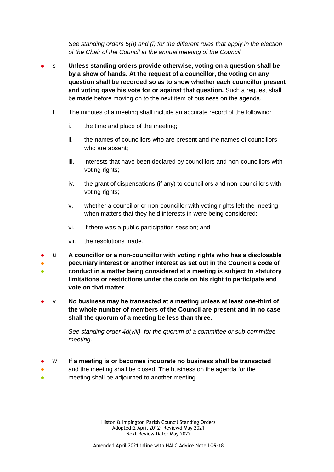*See standing orders 5(h) and (i) for the different rules that apply in the election of the Chair of the Council at the annual meeting of the Council.*

- s **Unless standing orders provide otherwise, voting on a question shall be by a show of hands. At the request of a councillor, the voting on any question shall be recorded so as to show whether each councillor present and voting gave his vote for or against that question.** Such a request shall be made before moving on to the next item of business on the agenda.
	- t The minutes of a meeting shall include an accurate record of the following:
		- i. the time and place of the meeting;
		- ii. the names of councillors who are present and the names of councillors who are absent;
		- iii. interests that have been declared by councillors and non-councillors with voting rights;
		- iv. the grant of dispensations (if any) to councillors and non-councillors with voting rights:
		- v. whether a councillor or non-councillor with voting rights left the meeting when matters that they held interests in were being considered;
		- vi. if there was a public participation session; and
		- vii. the resolutions made.
- u **A councillor or a non-councillor with voting rights who has a disclosable**
- ● **pecuniary interest or another interest as set out in the Council's code of conduct in a matter being considered at a meeting is subject to statutory limitations or restrictions under the code on his right to participate and vote on that matter.**
- v **No business may be transacted at a meeting unless at least one-third of the whole number of members of the Council are present and in no case shall the quorum of a meeting be less than three.**

*See standing order 4d(viii) for the quorum of a committee or sub-committee meeting.* 

- w **If a meeting is or becomes inquorate no business shall be transacted**
- ● and the meeting shall be closed. The business on the agenda for the meeting shall be adjourned to another meeting.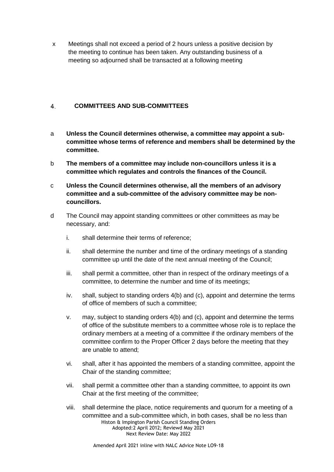x Meetings shall not exceed a period of 2 hours unless a positive decision by the meeting to continue has been taken. Any outstanding business of a meeting so adjourned shall be transacted at a following meeting

### <span id="page-8-0"></span>**COMMITTEES AND SUB-COMMITTEES**  $\overline{4}$

- a **Unless the Council determines otherwise, a committee may appoint a subcommittee whose terms of reference and members shall be determined by the committee.**
- b **The members of a committee may include non-councillors unless it is a committee which regulates and controls the finances of the Council.**
- c **Unless the Council determines otherwise, all the members of an advisory committee and a sub-committee of the advisory committee may be noncouncillors.**
- d The Council may appoint standing committees or other committees as may be necessary, and:
	- i. shall determine their terms of reference;
	- ii. shall determine the number and time of the ordinary meetings of a standing committee up until the date of the next annual meeting of the Council;
	- iii. shall permit a committee, other than in respect of the ordinary meetings of a committee, to determine the number and time of its meetings;
	- iv. shall, subject to standing orders 4(b) and (c), appoint and determine the terms of office of members of such a committee;
	- v. may, subject to standing orders 4(b) and (c), appoint and determine the terms of office of the substitute members to a committee whose role is to replace the ordinary members at a meeting of a committee if the ordinary members of the committee confirm to the Proper Officer 2 days before the meeting that they are unable to attend;
	- vi. shall, after it has appointed the members of a standing committee, appoint the Chair of the standing committee;
	- vii. shall permit a committee other than a standing committee, to appoint its own Chair at the first meeting of the committee;
	- Histon & Impington Parish Council Standing Orders Adopted:2 April 2012; Reviewd May 2021 Next Review Date: May 2022 viii. shall determine the place, notice requirements and quorum for a meeting of a committee and a sub-committee which, in both cases, shall be no less than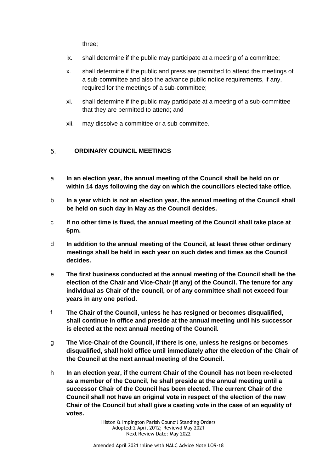three;

- ix. shall determine if the public may participate at a meeting of a committee;
- x. shall determine if the public and press are permitted to attend the meetings of a sub-committee and also the advance public notice requirements, if any, required for the meetings of a sub-committee;
- xi. shall determine if the public may participate at a meeting of a sub-committee that they are permitted to attend; and
- xii. may dissolve a committee or a sub-committee.

### <span id="page-9-0"></span>**ORDINARY COUNCIL MEETINGS**  5.

- a **In an election year, the annual meeting of the Council shall be held on or within 14 days following the day on which the councillors elected take office.**
- b **In a year which is not an election year, the annual meeting of the Council shall be held on such day in May as the Council decides.**
- c **If no other time is fixed, the annual meeting of the Council shall take place at 6pm.**
- d **In addition to the annual meeting of the Council, at least three other ordinary meetings shall be held in each year on such dates and times as the Council decides.**
- e **The first business conducted at the annual meeting of the Council shall be the election of the Chair and Vice-Chair (if any) of the Council. The tenure for any individual as Chair of the council, or of any committee shall not exceed four years in any one period.**
- f **The Chair of the Council, unless he has resigned or becomes disqualified, shall continue in office and preside at the annual meeting until his successor is elected at the next annual meeting of the Council.**
- g **The Vice-Chair of the Council, if there is one, unless he resigns or becomes disqualified, shall hold office until immediately after the election of the Chair of the Council at the next annual meeting of the Council.**
- h **In an election year, if the current Chair of the Council has not been re-elected as a member of the Council, he shall preside at the annual meeting until a successor Chair of the Council has been elected. The current Chair of the Council shall not have an original vote in respect of the election of the new Chair of the Council but shall give a casting vote in the case of an equality of votes.**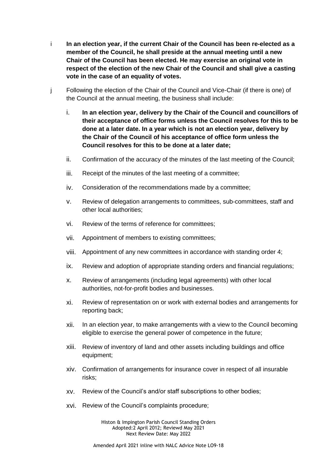- i **In an election year, if the current Chair of the Council has been re-elected as a member of the Council, he shall preside at the annual meeting until a new Chair of the Council has been elected. He may exercise an original vote in respect of the election of the new Chair of the Council and shall give a casting vote in the case of an equality of votes.**
- j Following the election of the Chair of the Council and Vice-Chair (if there is one) of the Council at the annual meeting, the business shall include:
	- i. **In an election year, delivery by the Chair of the Council and councillors of their acceptance of office forms unless the Council resolves for this to be done at a later date. In a year which is not an election year, delivery by the Chair of the Council of his acceptance of office form unless the Council resolves for this to be done at a later date;**
	- ii. Confirmation of the accuracy of the minutes of the last meeting of the Council;
	- iii. Receipt of the minutes of the last meeting of a committee;
	- iv. Consideration of the recommendations made by a committee;
	- v. Review of delegation arrangements to committees, sub-committees, staff and other local authorities;
	- vi. Review of the terms of reference for committees;
	- vii. Appointment of members to existing committees;
	- viii. Appointment of any new committees in accordance with standing order 4;
	- ix. Review and adoption of appropriate standing orders and financial regulations;
	- x. Review of arrangements (including legal agreements) with other local authorities, not-for-profit bodies and businesses.
	- xi. Review of representation on or work with external bodies and arrangements for reporting back;
	- xii. In an election year, to make arrangements with a view to the Council becoming eligible to exercise the general power of competence in the future;
	- xiii. Review of inventory of land and other assets including buildings and office equipment;
	- xiv. Confirmation of arrangements for insurance cover in respect of all insurable risks;
	- xv. Review of the Council's and/or staff subscriptions to other bodies;
	- xvi. Review of the Council's complaints procedure;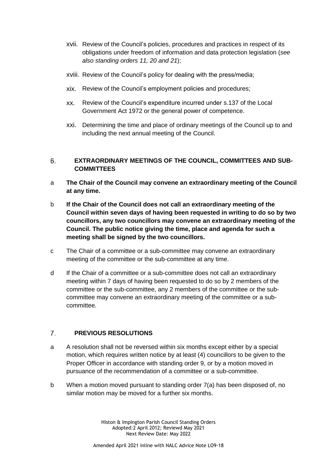- xvii. Review of the Council's policies, procedures and practices in respect of its obligations under freedom of information and data protection legislation (*see also standing orders 11, 20 and 21*);
- xviii. Review of the Council's policy for dealing with the press/media;
- xix. Review of the Council's employment policies and procedures;
- xx. Review of the Council's expenditure incurred under s.137 of the Local Government Act 1972 or the general power of competence.
- xxi. Determining the time and place of ordinary meetings of the Council up to and including the next annual meeting of the Council.

### <span id="page-11-0"></span>**EXTRAORDINARY MEETINGS OF THE COUNCIL, COMMITTEES AND SUB-**6. **COMMITTEES**

- a **The Chair of the Council may convene an extraordinary meeting of the Council at any time.**
- b **If the Chair of the Council does not call an extraordinary meeting of the Council within seven days of having been requested in writing to do so by two councillors, any two councillors may convene an extraordinary meeting of the Council. The public notice giving the time, place and agenda for such a meeting shall be signed by the two councillors.**
- c The Chair of a committee or a sub-committee may convene an extraordinary meeting of the committee or the sub-committee at any time.
- d If the Chair of a committee or a sub-committee does not call an extraordinary meeting within 7 days of having been requested to do so by 2 members of the committee or the sub-committee, any 2 members of the committee or the subcommittee may convene an extraordinary meeting of the committee or a subcommittee.

### <span id="page-11-1"></span> $\mathcal{I}$ . **PREVIOUS RESOLUTIONS**

- a A resolution shall not be reversed within six months except either by a special motion, which requires written notice by at least (4) councillors to be given to the Proper Officer in accordance with standing order 9, or by a motion moved in pursuance of the recommendation of a committee or a sub-committee.
- b When a motion moved pursuant to standing order 7(a) has been disposed of, no similar motion may be moved for a further six months.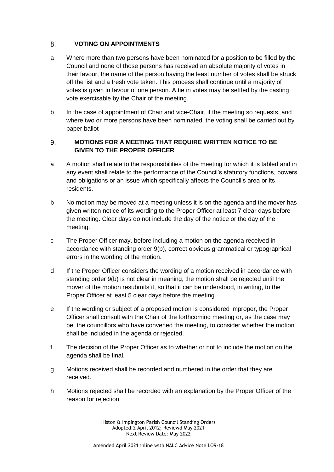### <span id="page-12-0"></span>8. **VOTING ON APPOINTMENTS**

- a Where more than two persons have been nominated for a position to be filled by the Council and none of those persons has received an absolute majority of votes in their favour, the name of the person having the least number of votes shall be struck off the list and a fresh vote taken. This process shall continue until a majority of votes is given in favour of one person. A tie in votes may be settled by the casting vote exercisable by the Chair of the meeting.
- b In the case of appointment of Chair and vice-Chair, if the meeting so requests, and where two or more persons have been nominated, the voting shall be carried out by paper ballot

### <span id="page-12-1"></span>9. **MOTIONS FOR A MEETING THAT REQUIRE WRITTEN NOTICE TO BE GIVEN TO THE PROPER OFFICER**

- a A motion shall relate to the responsibilities of the meeting for which it is tabled and in any event shall relate to the performance of the Council's statutory functions, powers and obligations or an issue which specifically affects the Council's area or its residents.
- b No motion may be moved at a meeting unless it is on the agenda and the mover has given written notice of its wording to the Proper Officer at least 7 clear days before the meeting. Clear days do not include the day of the notice or the day of the meeting.
- c The Proper Officer may, before including a motion on the agenda received in accordance with standing order 9(b), correct obvious grammatical or typographical errors in the wording of the motion.
- d If the Proper Officer considers the wording of a motion received in accordance with standing order 9(b) is not clear in meaning, the motion shall be rejected until the mover of the motion resubmits it, so that it can be understood, in writing, to the Proper Officer at least 5 clear days before the meeting.
- e If the wording or subject of a proposed motion is considered improper, the Proper Officer shall consult with the Chair of the forthcoming meeting or, as the case may be, the councillors who have convened the meeting, to consider whether the motion shall be included in the agenda or rejected.
- f The decision of the Proper Officer as to whether or not to include the motion on the agenda shall be final.
- g Motions received shall be recorded and numbered in the order that they are received.
- h Motions rejected shall be recorded with an explanation by the Proper Officer of the reason for rejection.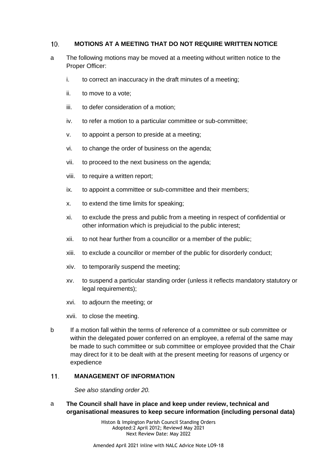### <span id="page-13-0"></span> $10.$ **MOTIONS AT A MEETING THAT DO NOT REQUIRE WRITTEN NOTICE**

- a The following motions may be moved at a meeting without written notice to the Proper Officer:
	- i. to correct an inaccuracy in the draft minutes of a meeting;
	- ii. to move to a vote;
	- iii. to defer consideration of a motion;
	- iv. to refer a motion to a particular committee or sub-committee;
	- v. to appoint a person to preside at a meeting;
	- vi. to change the order of business on the agenda;
	- vii. to proceed to the next business on the agenda;
	- viii. to require a written report;
	- ix. to appoint a committee or sub-committee and their members;
	- x. to extend the time limits for speaking;
	- xi. to exclude the press and public from a meeting in respect of confidential or other information which is prejudicial to the public interest;
	- xii. to not hear further from a councillor or a member of the public;
	- xiii. to exclude a councillor or member of the public for disorderly conduct;
	- xiv. to temporarily suspend the meeting;
	- xv. to suspend a particular standing order (unless it reflects mandatory statutory or legal requirements);
	- xvi. to adjourn the meeting; or
	- xvii. to close the meeting.
- b If a motion fall within the terms of reference of a committee or sub committee or within the delegated power conferred on an employee, a referral of the same may be made to such committee or sub committee or employee provided that the Chair may direct for it to be dealt with at the present meeting for reasons of urgency or expedience

#### <span id="page-13-1"></span>**MANAGEMENT OF INFORMATION**   $11$

*See also standing order 20.*

a **The Council shall have in place and keep under review, technical and organisational measures to keep secure information (including personal data)**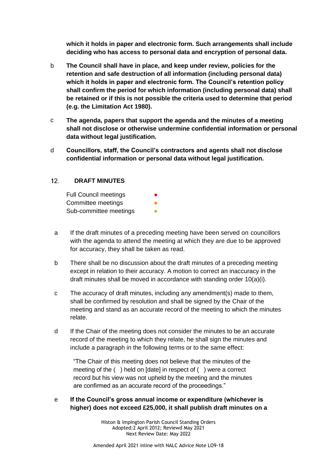**which it holds in paper and electronic form. Such arrangements shall include deciding who has access to personal data and encryption of personal data.**

- b **The Council shall have in place, and keep under review, policies for the retention and safe destruction of all information (including personal data) which it holds in paper and electronic form. The Council's retention policy shall confirm the period for which information (including personal data) shall be retained or if this is not possible the criteria used to determine that period (e.g. the Limitation Act 1980).**
- c **The agenda, papers that support the agenda and the minutes of a meeting shall not disclose or otherwise undermine confidential information or personal data without legal justification.**
- d **Councillors, staff, the Council's contractors and agents shall not disclose confidential information or personal data without legal justification.**

### <span id="page-14-0"></span> $12<sub>1</sub>$ **DRAFT MINUTES**

| <b>Full Council meetings</b> |  |
|------------------------------|--|
| Committee meetings           |  |
| Sub-committee meetings       |  |

- a If the draft minutes of a preceding meeting have been served on councillors with the agenda to attend the meeting at which they are due to be approved for accuracy, they shall be taken as read.
- b There shall be no discussion about the draft minutes of a preceding meeting except in relation to their accuracy. A motion to correct an inaccuracy in the draft minutes shall be moved in accordance with standing order 10(a)(i).
- c The accuracy of draft minutes, including any amendment(s) made to them, shall be confirmed by resolution and shall be signed by the Chair of the meeting and stand as an accurate record of the meeting to which the minutes relate.
- d If the Chair of the meeting does not consider the minutes to be an accurate record of the meeting to which they relate, he shall sign the minutes and include a paragraph in the following terms or to the same effect:

"The Chair of this meeting does not believe that the minutes of the meeting of the ( ) held on [date] in respect of ( ) were a correct record but his view was not upheld by the meeting and the minutes are confirmed as an accurate record of the proceedings."

# e **If the Council's gross annual income or expenditure (whichever is higher) does not exceed £25,000, it shall publish draft minutes on a**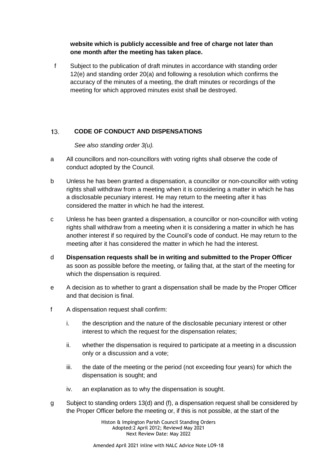**website which is publicly accessible and free of charge not later than one month after the meeting has taken place.**

f Subject to the publication of draft minutes in accordance with standing order 12(e) and standing order 20(a) and following a resolution which confirms the accuracy of the minutes of a meeting, the draft minutes or recordings of the meeting for which approved minutes exist shall be destroyed.

### <span id="page-15-0"></span> $13.$ **CODE OF CONDUCT AND DISPENSATIONS**

*See also standing order 3(u).*

- a All councillors and non-councillors with voting rights shall observe the code of conduct adopted by the Council.
- b Unless he has been granted a dispensation, a councillor or non-councillor with voting rights shall withdraw from a meeting when it is considering a matter in which he has a disclosable pecuniary interest. He may return to the meeting after it has considered the matter in which he had the interest.
- c Unless he has been granted a dispensation, a councillor or non-councillor with voting rights shall withdraw from a meeting when it is considering a matter in which he has another interest if so required by the Council's code of conduct. He may return to the meeting after it has considered the matter in which he had the interest.
- d **Dispensation requests shall be in writing and submitted to the Proper Officer** as soon as possible before the meeting, or failing that, at the start of the meeting for which the dispensation is required.
- e A decision as to whether to grant a dispensation shall be made by the Proper Officer and that decision is final.
- f A dispensation request shall confirm:
	- i. the description and the nature of the disclosable pecuniary interest or other interest to which the request for the dispensation relates;
	- ii. whether the dispensation is required to participate at a meeting in a discussion only or a discussion and a vote;
	- iii. the date of the meeting or the period (not exceeding four years) for which the dispensation is sought; and
	- iv. an explanation as to why the dispensation is sought.
- g Subject to standing orders 13(d) and (f), a dispensation request shall be considered by the Proper Officer before the meeting or, if this is not possible, at the start of the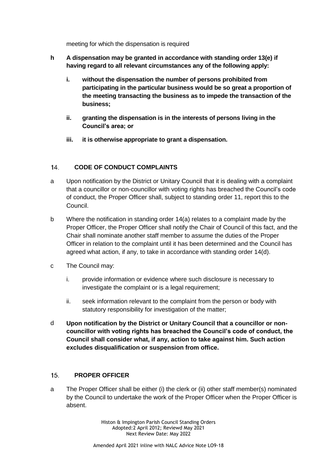meeting for which the dispensation is required

- **h A dispensation may be granted in accordance with standing order 13(e) if having regard to all relevant circumstances any of the following apply:**
	- **i. without the dispensation the number of persons prohibited from participating in the particular business would be so great a proportion of the meeting transacting the business as to impede the transaction of the business;**
	- **ii. granting the dispensation is in the interests of persons living in the Council's area; or**
	- **iii. it is otherwise appropriate to grant a dispensation.**

### <span id="page-16-0"></span> $14<sub>1</sub>$ **CODE OF CONDUCT COMPLAINTS**

- a Upon notification by the District or Unitary Council that it is dealing with a complaint that a councillor or non-councillor with voting rights has breached the Council's code of conduct, the Proper Officer shall, subject to standing order 11, report this to the Council.
- b Where the notification in standing order 14(a) relates to a complaint made by the Proper Officer, the Proper Officer shall notify the Chair of Council of this fact, and the Chair shall nominate another staff member to assume the duties of the Proper Officer in relation to the complaint until it has been determined and the Council has agreed what action, if any, to take in accordance with standing order 14(d).
- c The Council may:
	- i. provide information or evidence where such disclosure is necessary to investigate the complaint or is a legal requirement:
	- ii. seek information relevant to the complaint from the person or body with statutory responsibility for investigation of the matter;
- d **Upon notification by the District or Unitary Council that a councillor or noncouncillor with voting rights has breached the Council's code of conduct, the Council shall consider what, if any, action to take against him. Such action excludes disqualification or suspension from office.**

### <span id="page-16-1"></span> $15.$ **PROPER OFFICER**

a The Proper Officer shall be either (i) the clerk or (ii) other staff member(s) nominated by the Council to undertake the work of the Proper Officer when the Proper Officer is absent.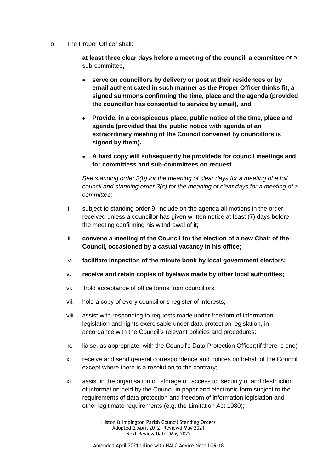- b The Proper Officer shall:
	- i. **at least three clear days before a meeting of the council, a committee** or a sub-committee**,**
		- **serve on councillors by delivery or post at their residences or by email authenticated in such manner as the Proper Officer thinks fit, a signed summons confirming the time, place and the agenda (provided the councillor has consented to service by email), and**
		- **Provide, in a conspicuous place, public notice of the time, place and agenda (provided that the public notice with agenda of an extraordinary meeting of the Council convened by councillors is signed by them).**
		- **A hard copy will subsequently be provideds for council meetings and for committess and sub-committees on request**

*See standing order 3(b) for the meaning of clear days for a meeting of a full council and standing order 3(c) for the meaning of clear days for a meeting of a committee;*

- ii. subject to standing order 9, include on the agenda all motions in the order received unless a councillor has given written notice at least (7) days before the meeting confirming his withdrawal of it;
- iii. **convene a meeting of the Council for the election of a new Chair of the Council, occasioned by a casual vacancy in his office;**
- iv. **facilitate inspection of the minute book by local government electors;**
- v. **receive and retain copies of byelaws made by other local authorities;**
- vi. hold acceptance of office forms from councillors;
- vii. hold a copy of every councillor's register of interests;
- viii. assist with responding to requests made under freedom of information legislation and rights exercisable under data protection legislation, in accordance with the Council's relevant policies and procedures;
- ix. liaise, as appropriate, with the Council's Data Protection Officer;(if there is one)
- x. receive and send general correspondence and notices on behalf of the Council except where there is a resolution to the contrary;
- xi. assist in the organisation of, storage of, access to, security of and destruction of information held by the Council in paper and electronic form subject to the requirements of data protection and freedom of information legislation and other legitimate requirements (e.g. the Limitation Act 1980);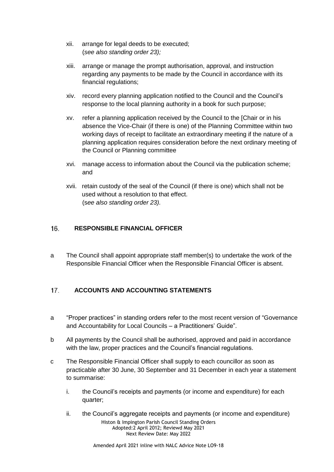- xii. arrange for legal deeds to be executed; (*see also standing order 23);*
- xiii. arrange or manage the prompt authorisation, approval, and instruction regarding any payments to be made by the Council in accordance with its financial regulations;
- xiv. record every planning application notified to the Council and the Council's response to the local planning authority in a book for such purpose;
- xv. refer a planning application received by the Council to the [Chair or in his absence the Vice-Chair (if there is one) of the Planning Committee within two working days of receipt to facilitate an extraordinary meeting if the nature of a planning application requires consideration before the next ordinary meeting of the Council or Planning committee
- xvi. manage access to information about the Council via the publication scheme; and
- xvii. retain custody of the seal of the Council (if there is one) which shall not be used without a resolution to that effect. (s*ee also standing order 23).*

### <span id="page-18-0"></span>16. **RESPONSIBLE FINANCIAL OFFICER**

a The Council shall appoint appropriate staff member(s) to undertake the work of the Responsible Financial Officer when the Responsible Financial Officer is absent.

### <span id="page-18-1"></span> $17.$ **ACCOUNTS AND ACCOUNTING STATEMENTS**

- a "Proper practices" in standing orders refer to the most recent version of "Governance and Accountability for Local Councils – a Practitioners' Guide".
- b All payments by the Council shall be authorised, approved and paid in accordance with the law, proper practices and the Council's financial regulations.
- c The Responsible Financial Officer shall supply to each councillor as soon as practicable after 30 June, 30 September and 31 December in each year a statement to summarise:
	- i. the Council's receipts and payments (or income and expenditure) for each quarter;
	- ii. the Council's aggregate receipts and payments (or income and expenditure)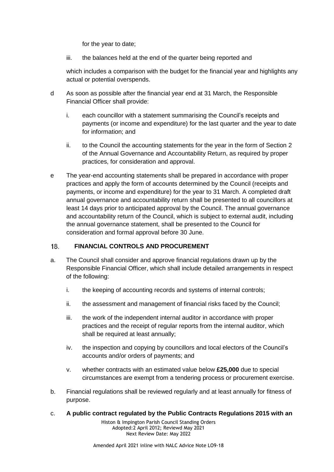for the year to date;

iii. the balances held at the end of the quarter being reported and

which includes a comparison with the budget for the financial year and highlights any actual or potential overspends.

- d As soon as possible after the financial year end at 31 March, the Responsible Financial Officer shall provide:
	- i. each councillor with a statement summarising the Council's receipts and payments (or income and expenditure) for the last quarter and the year to date for information; and
	- ii. to the Council the accounting statements for the year in the form of Section 2 of the Annual Governance and Accountability Return, as required by proper practices, for consideration and approval.
- e The year-end accounting statements shall be prepared in accordance with proper practices and apply the form of accounts determined by the Council (receipts and payments, or income and expenditure) for the year to 31 March. A completed draft annual governance and accountability return shall be presented to all councillors at least 14 days prior to anticipated approval by the Council. The annual governance and accountability return of the Council, which is subject to external audit, including the annual governance statement, shall be presented to the Council for consideration and formal approval before 30 June.

### <span id="page-19-0"></span>**FINANCIAL CONTROLS AND PROCUREMENT**  $18.$

- a. The Council shall consider and approve financial regulations drawn up by the Responsible Financial Officer, which shall include detailed arrangements in respect of the following:
	- i. the keeping of accounting records and systems of internal controls;
	- ii. the assessment and management of financial risks faced by the Council;
	- iii. the work of the independent internal auditor in accordance with proper practices and the receipt of regular reports from the internal auditor, which shall be required at least annually;
	- iv. the inspection and copying by councillors and local electors of the Council's accounts and/or orders of payments; and
	- v. whether contracts with an estimated value below **£25,000** due to special circumstances are exempt from a tendering process or procurement exercise.
- b. Financial regulations shall be reviewed regularly and at least annually for fitness of purpose.
- c. **A public contract regulated by the Public Contracts Regulations 2015 with an**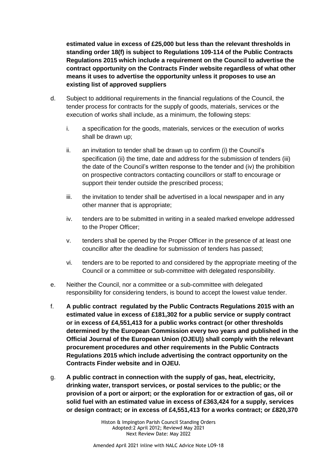**estimated value in excess of £25,000 but less than the relevant thresholds in standing order 18(f) is subject to Regulations 109-114 of the Public Contracts Regulations 2015 which include a requirement on the Council to advertise the contract opportunity on the Contracts Finder website regardless of what other means it uses to advertise the opportunity unless it proposes to use an existing list of approved suppliers**

- d. Subject to additional requirements in the financial regulations of the Council, the tender process for contracts for the supply of goods, materials, services or the execution of works shall include, as a minimum, the following steps:
	- i. a specification for the goods, materials, services or the execution of works shall be drawn up;
	- ii. an invitation to tender shall be drawn up to confirm (i) the Council's specification (ii) the time, date and address for the submission of tenders (iii) the date of the Council's written response to the tender and (iv) the prohibition on prospective contractors contacting councillors or staff to encourage or support their tender outside the prescribed process;
	- iii. the invitation to tender shall be advertised in a local newspaper and in any other manner that is appropriate;
	- iv. tenders are to be submitted in writing in a sealed marked envelope addressed to the Proper Officer;
	- v. tenders shall be opened by the Proper Officer in the presence of at least one councillor after the deadline for submission of tenders has passed;
	- vi. tenders are to be reported to and considered by the appropriate meeting of the Council or a committee or sub-committee with delegated responsibility.
- e. Neither the Council, nor a committee or a sub-committee with delegated responsibility for considering tenders, is bound to accept the lowest value tender.
- f. **A public contract regulated by the Public Contracts Regulations 2015 with an estimated value in excess of £181,302 for a public service or supply contract or in excess of £4,551,413 for a public works contract (or other thresholds determined by the European Commission every two years and published in the Official Journal of the European Union (OJEU)) shall comply with the relevant procurement procedures and other requirements in the Public Contracts Regulations 2015 which include advertising the contract opportunity on the Contracts Finder website and in OJEU.**
- g. **A public contract in connection with the supply of gas, heat, electricity, drinking water, transport services, or postal services to the public; or the provision of a port or airport; or the exploration for or extraction of gas, oil or solid fuel with an estimated value in excess of £363,424 for a supply, services or design contract; or in excess of £4,551,413 for a works contract; or £820,370**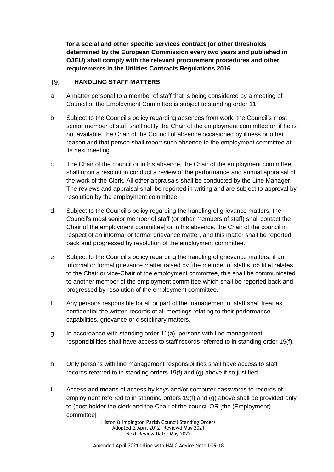**for a social and other specific services contract (or other thresholds determined by the European Commission every two years and published in OJEU) shall comply with the relevant procurement procedures and other requirements in the Utilities Contracts Regulations 2016.**

### <span id="page-21-0"></span>**HANDLING STAFF MATTERS** 19.

- a A matter personal to a member of staff that is being considered by a meeting of Council or the Employment Committee is subject to standing order 11.
- b Subject to the Council's policy regarding absences from work, the Council's most senior member of staff shall notify the Chair of the employment committee or, if he is not available, the Chair of the Council of absence occasioned by illness or other reason and that person shall report such absence to the employment committee at its next meeting.
- c The Chair of the council or in his absence, the Chair of the employment committee shall upon a resolution conduct a review of the performance and annual appraisal of the work of the Clerk. All other appraisals shall be conducted by the Line Manager. The reviews and appraisal shall be reported in writing and are subject to approval by resolution by the employment committee.
- d Subject to the Council's policy regarding the handling of grievance matters, the Council's most senior member of staff (or other members of staff) shall contact the Chair of the employment committee] or in his absence, the Chair of the council in respect of an informal or formal grievance matter, and this matter shall be reported back and progressed by resolution of the employment committee.
- e Subject to the Council's policy regarding the handling of grievance matters, if an informal or formal grievance matter raised by [the member of staff's job title] relates to the Chair or vice-Chair of the employment committee, this shall be communicated to another member of the employment committee which shall be reported back and progressed by resolution of the employment committee.
- f Any persons responsible for all or part of the management of staff shall treat as confidential the written records of all meetings relating to their performance, capabilities, grievance or disciplinary matters.
- g In accordance with standing order 11(a), persons with line management responsibilities shall have access to staff records referred to in standing order 19(f).
- h Only persons with line management responsibilities shall have access to staff records referred to in standing orders 19(f) and (g) above if so justified.
- I Access and means of access by keys and/or computer passwords to records of employment referred to in standing orders 19(f) and (g) above shall be provided only to (post holder the clerk and the Chair of the council OR [the (Employment) committee]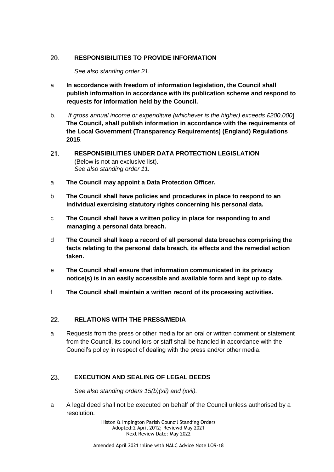### <span id="page-22-0"></span>**RESPONSIBILITIES TO PROVIDE INFORMATION**  20.

*See also standing order 21.*

- a **In accordance with freedom of information legislation, the Council shall publish information in accordance with its publication scheme and respond to requests for information held by the Council.**
- b. *If gross annual income or expenditure (whichever is the higher) exceeds £200,000*] **The Council, shall publish information in accordance with the requirements of the Local Government (Transparency Requirements) (England) Regulations 2015**.
- <span id="page-22-1"></span> $21$ **RESPONSIBILITIES UNDER DATA PROTECTION LEGISLATION**  (Below is not an exclusive list). *See also standing order 11.*
- a **The Council may appoint a Data Protection Officer.**
- b **The Council shall have policies and procedures in place to respond to an individual exercising statutory rights concerning his personal data.**
- c **The Council shall have a written policy in place for responding to and managing a personal data breach.**
- d **The Council shall keep a record of all personal data breaches comprising the facts relating to the personal data breach, its effects and the remedial action taken.**
- e **The Council shall ensure that information communicated in its privacy notice(s) is in an easily accessible and available form and kept up to date.**
- f **The Council shall maintain a written record of its processing activities.**

### <span id="page-22-2"></span>22. **RELATIONS WITH THE PRESS/MEDIA**

a Requests from the press or other media for an oral or written comment or statement from the Council, its councillors or staff shall be handled in accordance with the Council's policy in respect of dealing with the press and/or other media.

### <span id="page-22-3"></span>23. **EXECUTION AND SEALING OF LEGAL DEEDS**

*See also standing orders 15(b)(xii) and (xvii).*

a A legal deed shall not be executed on behalf of the Council unless authorised by a resolution.